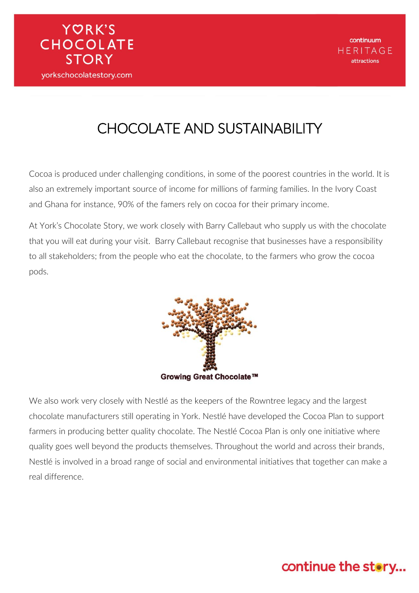# CHOCOLATE AND SUSTAINABILITY

**YORK'S** 

**CHOCOLATE** 

**STORY** 

yorkschocolatestory.com

Cocoa is produced under challenging conditions, in some of the poorest countries in the world. It is also an extremely important source of income for millions of farming families. In the Ivory Coast and Ghana for instance, 90% of the famers rely on cocoa for their primary income.

At York's Chocolate Story, we work closely with Barry Callebaut who supply us with the chocolate that you will eat during your visit. Barry Callebaut recognise that businesses have a responsibility to all stakeholders; from the people who eat the chocolate, to the farmers who grow the cocoa pods.



We also work very closely with Nestlé as the keepers of the Rowntree legacy and the largest chocolate manufacturers still operating in York. Nestlé have developed the Cocoa Plan to support farmers in producing better quality chocolate. The Nestlé Cocoa Plan is only one initiative where quality goes well beyond the products themselves. Throughout the world and across their brands, Nestlé is involved in a broad range of social and environmental initiatives that together can make a real difference.

### continue the story...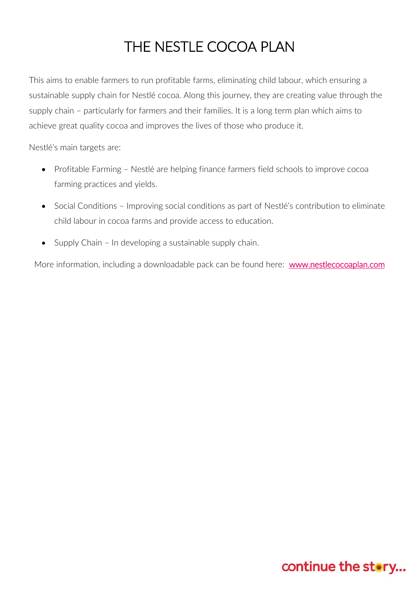## THE NESTLE COCOA PLAN

This aims to enable farmers to run profitable farms, eliminating child labour, which ensuring a sustainable supply chain for Nestlé cocoa. Along this journey, they are creating value through the supply chain – particularly for farmers and their families. It is a long term plan which aims to achieve great quality cocoa and improves the lives of those who produce it.

Nestlé's main targets are:

- Profitable Farming Nestlé are helping finance farmers field schools to improve cocoa farming practices and yields.
- Social Conditions Improving social conditions as part of Nestlé's contribution to eliminate child labour in cocoa farms and provide access to education.
- Supply Chain In developing a sustainable supply chain.

More information, including a downloadable pack can be found here: www.nestlecocoaplan.com

### continue the story...